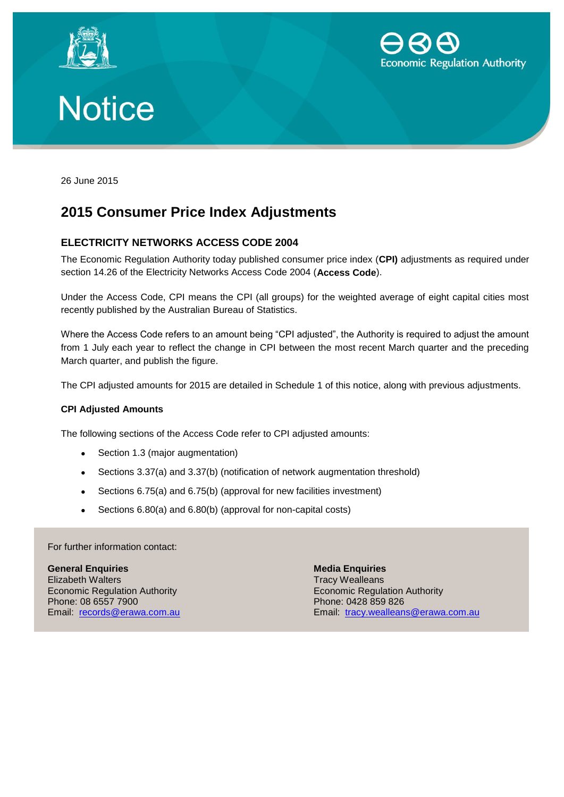





26 June 2015

## **2015 Consumer Price Index Adjustments**

### **ELECTRICITY NETWORKS ACCESS CODE 2004**

The Economic Regulation Authority today published consumer price index (**CPI)** adjustments as required under section 14.26 of the Electricity Networks Access Code 2004 (**Access Code**).

Under the Access Code, CPI means the CPI (all groups) for the weighted average of eight capital cities most recently published by the Australian Bureau of Statistics.

Where the Access Code refers to an amount being "CPI adjusted", the Authority is required to adjust the amount from 1 July each year to reflect the change in CPI between the most recent March quarter and the preceding March quarter, and publish the figure.

The CPI adjusted amounts for 2015 are detailed in Schedule 1 of this notice, along with previous adjustments.

### **CPI Adjusted Amounts**

The following sections of the Access Code refer to CPI adjusted amounts:

- Section 1.3 (major augmentation)
- Sections 3.37(a) and 3.37(b) (notification of network augmentation threshold)
- Sections 6.75(a) and 6.75(b) (approval for new facilities investment)
- Sections 6.80(a) and 6.80(b) (approval for non-capital costs)

#### For further information contact:

# **General Enquiries Media Enquiries** Elizabeth Walters Tracy Wealleans

Phone: 08 6557 7900 **Phone: 0428 859 826** 

Economic Regulation Authority Economic Regulation Authority Email: [records@erawa.com.au](mailto:%20records@erawa.com.au) Characteristic extension of the Email: [tracy.wealleans@erawa.com.au](mailto:tracy.wealleans@erawa.com.au)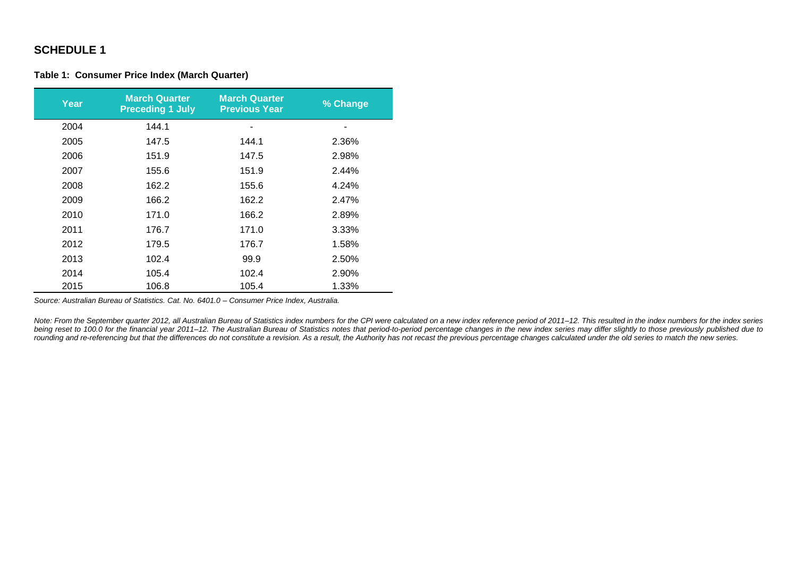### **SCHEDULE 1**

### **Table 1: Consumer Price Index (March Quarter)**

| Year | <b>March Quarter</b><br><b>Preceding 1 July</b> | <b>March Quarter</b><br><b>Previous Year</b> | % Change |  |
|------|-------------------------------------------------|----------------------------------------------|----------|--|
| 2004 | 144.1                                           |                                              |          |  |
| 2005 | 147.5                                           | 144.1                                        | 2.36%    |  |
| 2006 | 151.9                                           | 147.5                                        | 2.98%    |  |
| 2007 | 155.6                                           | 151.9                                        | 2.44%    |  |
| 2008 | 162.2                                           | 155.6                                        | 4.24%    |  |
| 2009 | 166.2                                           | 162.2                                        | 2.47%    |  |
| 2010 | 171.0                                           | 166.2                                        | 2.89%    |  |
| 2011 | 176.7                                           | 171.0                                        | 3.33%    |  |
| 2012 | 179.5                                           | 176.7                                        | 1.58%    |  |
| 2013 | 102.4                                           | 99.9                                         | 2.50%    |  |
| 2014 | 105.4                                           | 102.4                                        | 2.90%    |  |
| 2015 | 106.8                                           | 105.4                                        | 1.33%    |  |

*Source: Australian Bureau of Statistics. Cat. No. 6401.0 – Consumer Price Index, Australia.*

Note: From the September quarter 2012, all Australian Bureau of Statistics index numbers for the CPI were calculated on a new index reference period of 2011-12. This resulted in the index numbers for the index series being reset to 100.0 for the financial year 2011–12. The Australian Bureau of Statistics notes that period-to-period percentage changes in the new index series may differ slightly to those previously published due to rounding and re-referencing but that the differences do not constitute a revision. As a result, the Authority has not recast the previous percentage changes calculated under the old series to match the new series.